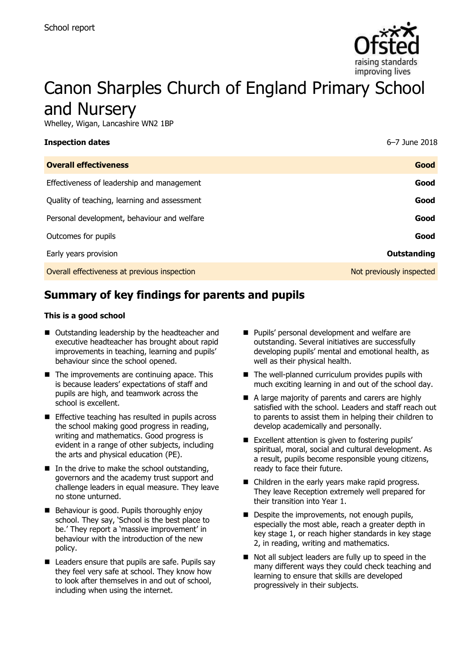

# Canon Sharples Church of England Primary School and Nursery

Whelley, Wigan, Lancashire WN2 1BP

| <b>Inspection dates</b>                      | 6-7 June 2018            |
|----------------------------------------------|--------------------------|
| <b>Overall effectiveness</b>                 | Good                     |
| Effectiveness of leadership and management   | Good                     |
| Quality of teaching, learning and assessment | Good                     |
| Personal development, behaviour and welfare  | Good                     |
| Outcomes for pupils                          | Good                     |
| Early years provision                        | Outstanding              |
| Overall effectiveness at previous inspection | Not previously inspected |

# **Summary of key findings for parents and pupils**

#### **This is a good school**

- Outstanding leadership by the headteacher and executive headteacher has brought about rapid improvements in teaching, learning and pupils' behaviour since the school opened.
- $\blacksquare$  The improvements are continuing apace. This is because leaders' expectations of staff and pupils are high, and teamwork across the school is excellent.
- **Effective teaching has resulted in pupils across** the school making good progress in reading, writing and mathematics. Good progress is evident in a range of other subjects, including the arts and physical education (PE).
- $\blacksquare$  In the drive to make the school outstanding, governors and the academy trust support and challenge leaders in equal measure. They leave no stone unturned.
- Behaviour is good. Pupils thoroughly enjoy school. They say, 'School is the best place to be.' They report a 'massive improvement' in behaviour with the introduction of the new policy.
- Leaders ensure that pupils are safe. Pupils say they feel very safe at school. They know how to look after themselves in and out of school, including when using the internet.
- **Pupils' personal development and welfare are** outstanding. Several initiatives are successfully developing pupils' mental and emotional health, as well as their physical health.
- $\blacksquare$  The well-planned curriculum provides pupils with much exciting learning in and out of the school day.
- A large majority of parents and carers are highly satisfied with the school. Leaders and staff reach out to parents to assist them in helping their children to develop academically and personally.
- **Excellent attention is given to fostering pupils'** spiritual, moral, social and cultural development. As a result, pupils become responsible young citizens, ready to face their future.
- Children in the early years make rapid progress. They leave Reception extremely well prepared for their transition into Year 1.
- Despite the improvements, not enough pupils, especially the most able, reach a greater depth in key stage 1, or reach higher standards in key stage 2, in reading, writing and mathematics.
- Not all subject leaders are fully up to speed in the many different ways they could check teaching and learning to ensure that skills are developed progressively in their subjects.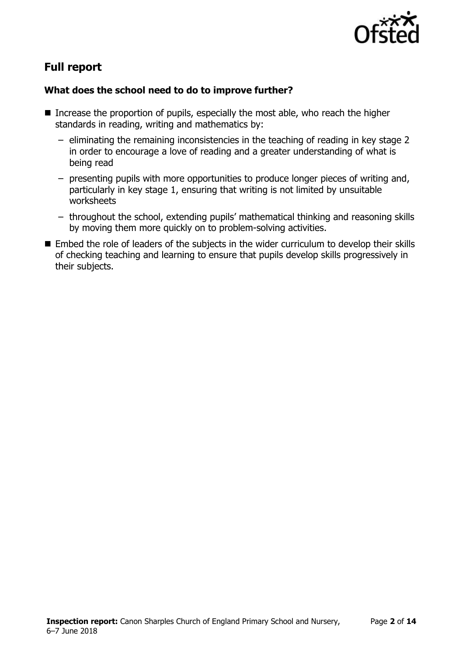

# **Full report**

### **What does the school need to do to improve further?**

- Increase the proportion of pupils, especially the most able, who reach the higher standards in reading, writing and mathematics by:
	- eliminating the remaining inconsistencies in the teaching of reading in key stage 2 in order to encourage a love of reading and a greater understanding of what is being read
	- presenting pupils with more opportunities to produce longer pieces of writing and, particularly in key stage 1, ensuring that writing is not limited by unsuitable worksheets
	- throughout the school, extending pupils' mathematical thinking and reasoning skills by moving them more quickly on to problem-solving activities.
- Embed the role of leaders of the subjects in the wider curriculum to develop their skills of checking teaching and learning to ensure that pupils develop skills progressively in their subjects.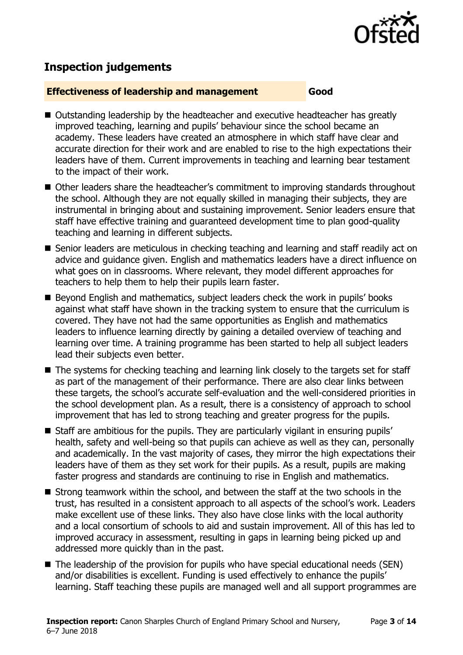

# **Inspection judgements**

#### **Effectiveness of leadership and management Good**

- Outstanding leadership by the headteacher and executive headteacher has greatly improved teaching, learning and pupils' behaviour since the school became an academy. These leaders have created an atmosphere in which staff have clear and accurate direction for their work and are enabled to rise to the high expectations their leaders have of them. Current improvements in teaching and learning bear testament to the impact of their work.
- Other leaders share the headteacher's commitment to improving standards throughout the school. Although they are not equally skilled in managing their subjects, they are instrumental in bringing about and sustaining improvement. Senior leaders ensure that staff have effective training and guaranteed development time to plan good-quality teaching and learning in different subjects.
- Senior leaders are meticulous in checking teaching and learning and staff readily act on advice and guidance given. English and mathematics leaders have a direct influence on what goes on in classrooms. Where relevant, they model different approaches for teachers to help them to help their pupils learn faster.
- Beyond English and mathematics, subject leaders check the work in pupils' books against what staff have shown in the tracking system to ensure that the curriculum is covered. They have not had the same opportunities as English and mathematics leaders to influence learning directly by gaining a detailed overview of teaching and learning over time. A training programme has been started to help all subject leaders lead their subjects even better.
- The systems for checking teaching and learning link closely to the targets set for staff as part of the management of their performance. There are also clear links between these targets, the school's accurate self-evaluation and the well-considered priorities in the school development plan. As a result, there is a consistency of approach to school improvement that has led to strong teaching and greater progress for the pupils.
- Staff are ambitious for the pupils. They are particularly vigilant in ensuring pupils' health, safety and well-being so that pupils can achieve as well as they can, personally and academically. In the vast majority of cases, they mirror the high expectations their leaders have of them as they set work for their pupils. As a result, pupils are making faster progress and standards are continuing to rise in English and mathematics.
- Strong teamwork within the school, and between the staff at the two schools in the trust, has resulted in a consistent approach to all aspects of the school's work. Leaders make excellent use of these links. They also have close links with the local authority and a local consortium of schools to aid and sustain improvement. All of this has led to improved accuracy in assessment, resulting in gaps in learning being picked up and addressed more quickly than in the past.
- The leadership of the provision for pupils who have special educational needs (SEN) and/or disabilities is excellent. Funding is used effectively to enhance the pupils' learning. Staff teaching these pupils are managed well and all support programmes are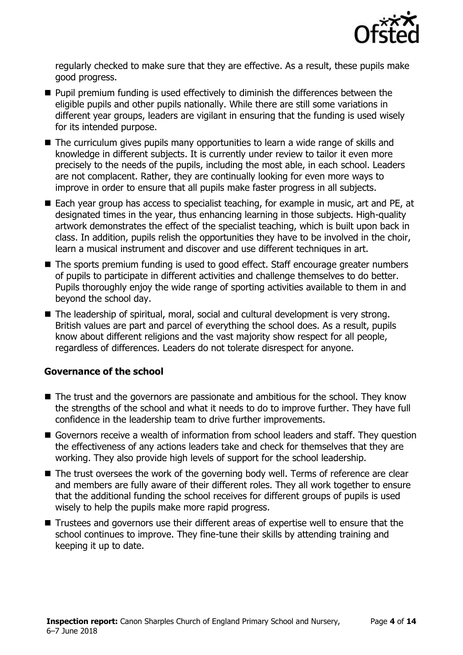

regularly checked to make sure that they are effective. As a result, these pupils make good progress.

- **Pupil premium funding is used effectively to diminish the differences between the** eligible pupils and other pupils nationally. While there are still some variations in different year groups, leaders are vigilant in ensuring that the funding is used wisely for its intended purpose.
- The curriculum gives pupils many opportunities to learn a wide range of skills and knowledge in different subjects. It is currently under review to tailor it even more precisely to the needs of the pupils, including the most able, in each school. Leaders are not complacent. Rather, they are continually looking for even more ways to improve in order to ensure that all pupils make faster progress in all subjects.
- Each year group has access to specialist teaching, for example in music, art and PE, at designated times in the year, thus enhancing learning in those subjects. High-quality artwork demonstrates the effect of the specialist teaching, which is built upon back in class. In addition, pupils relish the opportunities they have to be involved in the choir, learn a musical instrument and discover and use different techniques in art.
- The sports premium funding is used to good effect. Staff encourage greater numbers of pupils to participate in different activities and challenge themselves to do better. Pupils thoroughly enjoy the wide range of sporting activities available to them in and beyond the school day.
- The leadership of spiritual, moral, social and cultural development is very strong. British values are part and parcel of everything the school does. As a result, pupils know about different religions and the vast majority show respect for all people, regardless of differences. Leaders do not tolerate disrespect for anyone.

#### **Governance of the school**

- The trust and the governors are passionate and ambitious for the school. They know the strengths of the school and what it needs to do to improve further. They have full confidence in the leadership team to drive further improvements.
- Governors receive a wealth of information from school leaders and staff. They question the effectiveness of any actions leaders take and check for themselves that they are working. They also provide high levels of support for the school leadership.
- The trust oversees the work of the governing body well. Terms of reference are clear and members are fully aware of their different roles. They all work together to ensure that the additional funding the school receives for different groups of pupils is used wisely to help the pupils make more rapid progress.
- Trustees and governors use their different areas of expertise well to ensure that the school continues to improve. They fine-tune their skills by attending training and keeping it up to date.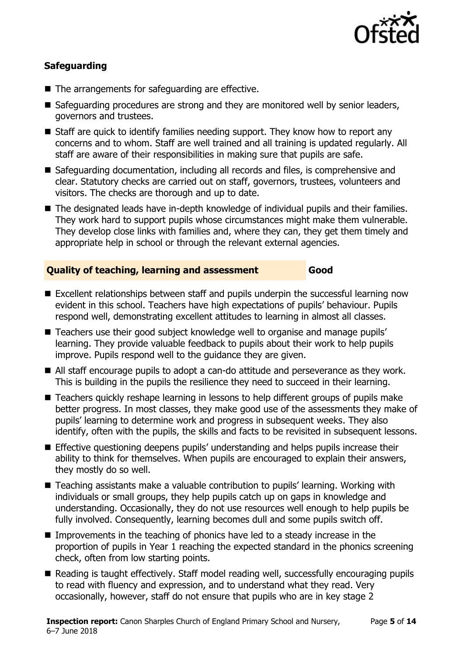

### **Safeguarding**

- The arrangements for safeguarding are effective.
- Safeguarding procedures are strong and they are monitored well by senior leaders, governors and trustees.
- Staff are quick to identify families needing support. They know how to report any concerns and to whom. Staff are well trained and all training is updated regularly. All staff are aware of their responsibilities in making sure that pupils are safe.
- Safeguarding documentation, including all records and files, is comprehensive and clear. Statutory checks are carried out on staff, governors, trustees, volunteers and visitors. The checks are thorough and up to date.
- The designated leads have in-depth knowledge of individual pupils and their families. They work hard to support pupils whose circumstances might make them vulnerable. They develop close links with families and, where they can, they get them timely and appropriate help in school or through the relevant external agencies.

#### **Quality of teaching, learning and assessment Good**

- Excellent relationships between staff and pupils underpin the successful learning now evident in this school. Teachers have high expectations of pupils' behaviour. Pupils respond well, demonstrating excellent attitudes to learning in almost all classes.
- Teachers use their good subject knowledge well to organise and manage pupils' learning. They provide valuable feedback to pupils about their work to help pupils improve. Pupils respond well to the guidance they are given.
- All staff encourage pupils to adopt a can-do attitude and perseverance as they work. This is building in the pupils the resilience they need to succeed in their learning.
- Teachers quickly reshape learning in lessons to help different groups of pupils make better progress. In most classes, they make good use of the assessments they make of pupils' learning to determine work and progress in subsequent weeks. They also identify, often with the pupils, the skills and facts to be revisited in subsequent lessons.
- Effective questioning deepens pupils' understanding and helps pupils increase their ability to think for themselves. When pupils are encouraged to explain their answers, they mostly do so well.
- Teaching assistants make a valuable contribution to pupils' learning. Working with individuals or small groups, they help pupils catch up on gaps in knowledge and understanding. Occasionally, they do not use resources well enough to help pupils be fully involved. Consequently, learning becomes dull and some pupils switch off.
- **IMPROMERGER** In the teaching of phonics have led to a steady increase in the proportion of pupils in Year 1 reaching the expected standard in the phonics screening check, often from low starting points.
- Reading is taught effectively. Staff model reading well, successfully encouraging pupils to read with fluency and expression, and to understand what they read. Very occasionally, however, staff do not ensure that pupils who are in key stage 2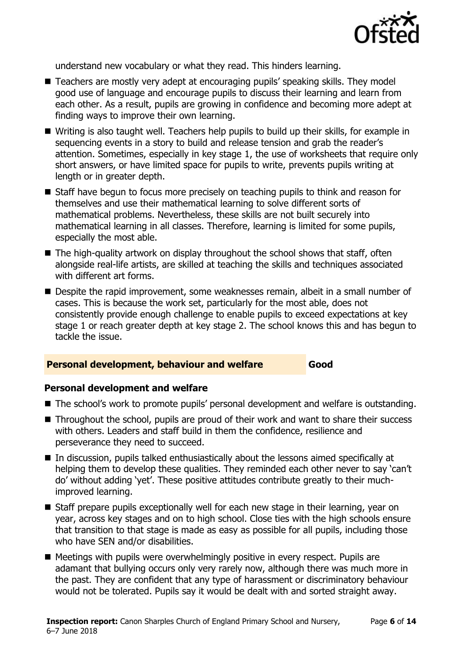

understand new vocabulary or what they read. This hinders learning.

- Teachers are mostly very adept at encouraging pupils' speaking skills. They model good use of language and encourage pupils to discuss their learning and learn from each other. As a result, pupils are growing in confidence and becoming more adept at finding ways to improve their own learning.
- Writing is also taught well. Teachers help pupils to build up their skills, for example in sequencing events in a story to build and release tension and grab the reader's attention. Sometimes, especially in key stage 1, the use of worksheets that require only short answers, or have limited space for pupils to write, prevents pupils writing at length or in greater depth.
- Staff have begun to focus more precisely on teaching pupils to think and reason for themselves and use their mathematical learning to solve different sorts of mathematical problems. Nevertheless, these skills are not built securely into mathematical learning in all classes. Therefore, learning is limited for some pupils, especially the most able.
- $\blacksquare$  The high-quality artwork on display throughout the school shows that staff, often alongside real-life artists, are skilled at teaching the skills and techniques associated with different art forms.
- Despite the rapid improvement, some weaknesses remain, albeit in a small number of cases. This is because the work set, particularly for the most able, does not consistently provide enough challenge to enable pupils to exceed expectations at key stage 1 or reach greater depth at key stage 2. The school knows this and has begun to tackle the issue.

#### **Personal development, behaviour and welfare Good**

#### **Personal development and welfare**

- The school's work to promote pupils' personal development and welfare is outstanding.
- Throughout the school, pupils are proud of their work and want to share their success with others. Leaders and staff build in them the confidence, resilience and perseverance they need to succeed.
- In discussion, pupils talked enthusiastically about the lessons aimed specifically at helping them to develop these qualities. They reminded each other never to say 'can't do' without adding 'yet'. These positive attitudes contribute greatly to their muchimproved learning.
- Staff prepare pupils exceptionally well for each new stage in their learning, year on year, across key stages and on to high school. Close ties with the high schools ensure that transition to that stage is made as easy as possible for all pupils, including those who have SEN and/or disabilities.
- Meetings with pupils were overwhelmingly positive in every respect. Pupils are adamant that bullying occurs only very rarely now, although there was much more in the past. They are confident that any type of harassment or discriminatory behaviour would not be tolerated. Pupils say it would be dealt with and sorted straight away.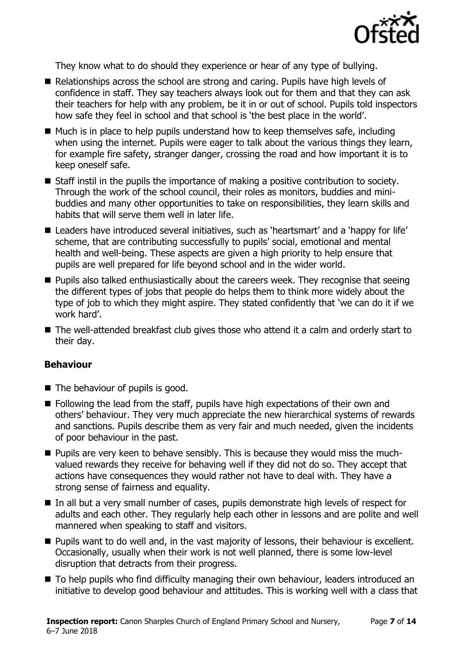

They know what to do should they experience or hear of any type of bullying.

- Relationships across the school are strong and caring. Pupils have high levels of confidence in staff. They say teachers always look out for them and that they can ask their teachers for help with any problem, be it in or out of school. Pupils told inspectors how safe they feel in school and that school is 'the best place in the world'.
- $\blacksquare$  Much is in place to help pupils understand how to keep themselves safe, including when using the internet. Pupils were eager to talk about the various things they learn, for example fire safety, stranger danger, crossing the road and how important it is to keep oneself safe.
- Staff instil in the pupils the importance of making a positive contribution to society. Through the work of the school council, their roles as monitors, buddies and minibuddies and many other opportunities to take on responsibilities, they learn skills and habits that will serve them well in later life.
- Leaders have introduced several initiatives, such as 'heartsmart' and a 'happy for life' scheme, that are contributing successfully to pupils' social, emotional and mental health and well-being. These aspects are given a high priority to help ensure that pupils are well prepared for life beyond school and in the wider world.
- **Pupils also talked enthusiastically about the careers week. They recognise that seeing** the different types of jobs that people do helps them to think more widely about the type of job to which they might aspire. They stated confidently that 'we can do it if we work hard'.
- The well-attended breakfast club gives those who attend it a calm and orderly start to their day.

#### **Behaviour**

- The behaviour of pupils is good.
- **Following the lead from the staff, pupils have high expectations of their own and** others' behaviour. They very much appreciate the new hierarchical systems of rewards and sanctions. Pupils describe them as very fair and much needed, given the incidents of poor behaviour in the past.
- **Pupils are very keen to behave sensibly. This is because they would miss the much**valued rewards they receive for behaving well if they did not do so. They accept that actions have consequences they would rather not have to deal with. They have a strong sense of fairness and equality.
- In all but a very small number of cases, pupils demonstrate high levels of respect for adults and each other. They regularly help each other in lessons and are polite and well mannered when speaking to staff and visitors.
- **Pupils want to do well and, in the vast majority of lessons, their behaviour is excellent.** Occasionally, usually when their work is not well planned, there is some low-level disruption that detracts from their progress.
- To help pupils who find difficulty managing their own behaviour, leaders introduced an initiative to develop good behaviour and attitudes. This is working well with a class that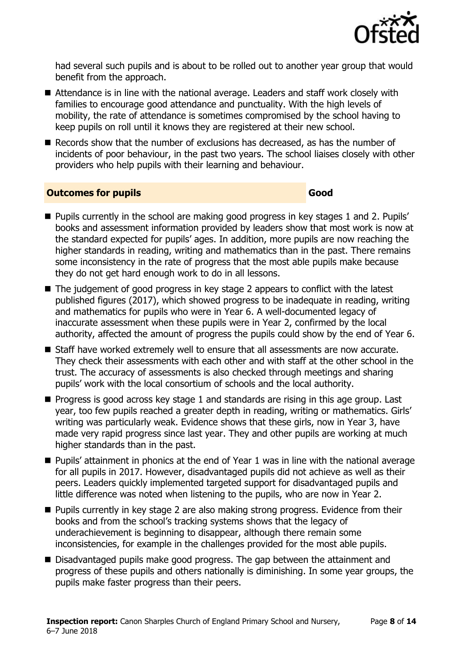

had several such pupils and is about to be rolled out to another year group that would benefit from the approach.

- Attendance is in line with the national average. Leaders and staff work closely with families to encourage good attendance and punctuality. With the high levels of mobility, the rate of attendance is sometimes compromised by the school having to keep pupils on roll until it knows they are registered at their new school.
- Records show that the number of exclusions has decreased, as has the number of incidents of poor behaviour, in the past two years. The school liaises closely with other providers who help pupils with their learning and behaviour.

#### **Outcomes for pupils Good**

- **Pupils currently in the school are making good progress in key stages 1 and 2. Pupils'** books and assessment information provided by leaders show that most work is now at the standard expected for pupils' ages. In addition, more pupils are now reaching the higher standards in reading, writing and mathematics than in the past. There remains some inconsistency in the rate of progress that the most able pupils make because they do not get hard enough work to do in all lessons.
- The judgement of good progress in key stage 2 appears to conflict with the latest published figures (2017), which showed progress to be inadequate in reading, writing and mathematics for pupils who were in Year 6. A well-documented legacy of inaccurate assessment when these pupils were in Year 2, confirmed by the local authority, affected the amount of progress the pupils could show by the end of Year 6.
- Staff have worked extremely well to ensure that all assessments are now accurate. They check their assessments with each other and with staff at the other school in the trust. The accuracy of assessments is also checked through meetings and sharing pupils' work with the local consortium of schools and the local authority.
- **Progress is good across key stage 1 and standards are rising in this age group. Last** year, too few pupils reached a greater depth in reading, writing or mathematics. Girls' writing was particularly weak. Evidence shows that these girls, now in Year 3, have made very rapid progress since last year. They and other pupils are working at much higher standards than in the past.
- Pupils' attainment in phonics at the end of Year 1 was in line with the national average for all pupils in 2017. However, disadvantaged pupils did not achieve as well as their peers. Leaders quickly implemented targeted support for disadvantaged pupils and little difference was noted when listening to the pupils, who are now in Year 2.
- **Pupils currently in key stage 2 are also making strong progress. Evidence from their** books and from the school's tracking systems shows that the legacy of underachievement is beginning to disappear, although there remain some inconsistencies, for example in the challenges provided for the most able pupils.
- Disadvantaged pupils make good progress. The gap between the attainment and progress of these pupils and others nationally is diminishing. In some year groups, the pupils make faster progress than their peers.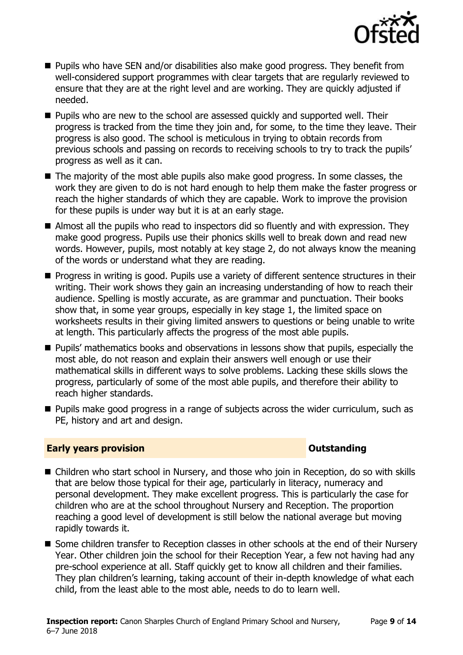

- **Pupils who have SEN and/or disabilities also make good progress. They benefit from** well-considered support programmes with clear targets that are regularly reviewed to ensure that they are at the right level and are working. They are quickly adjusted if needed.
- **Pupils who are new to the school are assessed quickly and supported well. Their** progress is tracked from the time they join and, for some, to the time they leave. Their progress is also good. The school is meticulous in trying to obtain records from previous schools and passing on records to receiving schools to try to track the pupils' progress as well as it can.
- The majority of the most able pupils also make good progress. In some classes, the work they are given to do is not hard enough to help them make the faster progress or reach the higher standards of which they are capable. Work to improve the provision for these pupils is under way but it is at an early stage.
- Almost all the pupils who read to inspectors did so fluently and with expression. They make good progress. Pupils use their phonics skills well to break down and read new words. However, pupils, most notably at key stage 2, do not always know the meaning of the words or understand what they are reading.
- **Progress in writing is good. Pupils use a variety of different sentence structures in their** writing. Their work shows they gain an increasing understanding of how to reach their audience. Spelling is mostly accurate, as are grammar and punctuation. Their books show that, in some year groups, especially in key stage 1, the limited space on worksheets results in their giving limited answers to questions or being unable to write at length. This particularly affects the progress of the most able pupils.
- **Pupils' mathematics books and observations in lessons show that pupils, especially the** most able, do not reason and explain their answers well enough or use their mathematical skills in different ways to solve problems. Lacking these skills slows the progress, particularly of some of the most able pupils, and therefore their ability to reach higher standards.
- **Pupils make good progress in a range of subjects across the wider curriculum, such as** PE, history and art and design.

#### **Early years provision CONSTANDING TO A RESEARCH CONSTANDING TO A RESEARCH CONSTANDING TO A RESEARCH CONSTANDING TO A RESEARCH CONSTANDING TO A RESEARCH CONSTANDING TO A RESEARCH CONSTANDING TO A RESEARCH CONSTANDING TO**

- Children who start school in Nursery, and those who join in Reception, do so with skills that are below those typical for their age, particularly in literacy, numeracy and personal development. They make excellent progress. This is particularly the case for children who are at the school throughout Nursery and Reception. The proportion reaching a good level of development is still below the national average but moving rapidly towards it.
- Some children transfer to Reception classes in other schools at the end of their Nursery Year. Other children join the school for their Reception Year, a few not having had any pre-school experience at all. Staff quickly get to know all children and their families. They plan children's learning, taking account of their in-depth knowledge of what each child, from the least able to the most able, needs to do to learn well.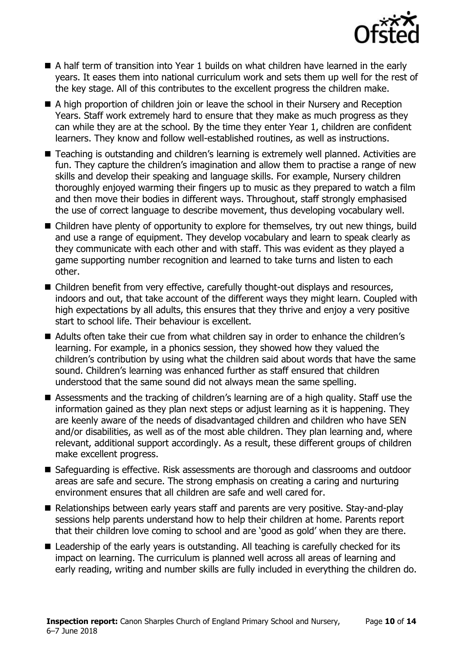

- A half term of transition into Year 1 builds on what children have learned in the early years. It eases them into national curriculum work and sets them up well for the rest of the key stage. All of this contributes to the excellent progress the children make.
- A high proportion of children join or leave the school in their Nursery and Reception Years. Staff work extremely hard to ensure that they make as much progress as they can while they are at the school. By the time they enter Year 1, children are confident learners. They know and follow well-established routines, as well as instructions.
- Teaching is outstanding and children's learning is extremely well planned. Activities are fun. They capture the children's imagination and allow them to practise a range of new skills and develop their speaking and language skills. For example, Nursery children thoroughly enjoyed warming their fingers up to music as they prepared to watch a film and then move their bodies in different ways. Throughout, staff strongly emphasised the use of correct language to describe movement, thus developing vocabulary well.
- Children have plenty of opportunity to explore for themselves, try out new things, build and use a range of equipment. They develop vocabulary and learn to speak clearly as they communicate with each other and with staff. This was evident as they played a game supporting number recognition and learned to take turns and listen to each other.
- Children benefit from very effective, carefully thought-out displays and resources, indoors and out, that take account of the different ways they might learn. Coupled with high expectations by all adults, this ensures that they thrive and enjoy a very positive start to school life. Their behaviour is excellent.
- Adults often take their cue from what children say in order to enhance the children's learning. For example, in a phonics session, they showed how they valued the children's contribution by using what the children said about words that have the same sound. Children's learning was enhanced further as staff ensured that children understood that the same sound did not always mean the same spelling.
- Assessments and the tracking of children's learning are of a high quality. Staff use the information gained as they plan next steps or adjust learning as it is happening. They are keenly aware of the needs of disadvantaged children and children who have SEN and/or disabilities, as well as of the most able children. They plan learning and, where relevant, additional support accordingly. As a result, these different groups of children make excellent progress.
- Safeguarding is effective. Risk assessments are thorough and classrooms and outdoor areas are safe and secure. The strong emphasis on creating a caring and nurturing environment ensures that all children are safe and well cared for.
- Relationships between early years staff and parents are very positive. Stay-and-play sessions help parents understand how to help their children at home. Parents report that their children love coming to school and are 'good as gold' when they are there.
- Leadership of the early years is outstanding. All teaching is carefully checked for its impact on learning. The curriculum is planned well across all areas of learning and early reading, writing and number skills are fully included in everything the children do.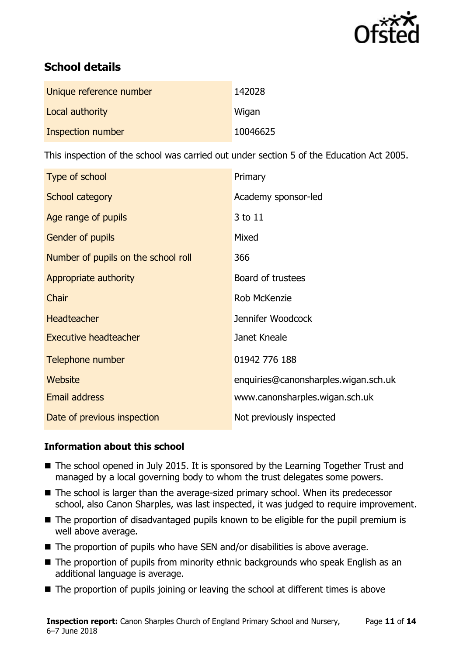

# **School details**

| Unique reference number | 142028   |
|-------------------------|----------|
| Local authority         | Wigan    |
| Inspection number       | 10046625 |

This inspection of the school was carried out under section 5 of the Education Act 2005.

| Type of school                      | Primary                              |
|-------------------------------------|--------------------------------------|
| <b>School category</b>              | Academy sponsor-led                  |
| Age range of pupils                 | 3 to 11                              |
| Gender of pupils                    | Mixed                                |
| Number of pupils on the school roll | 366                                  |
| Appropriate authority               | Board of trustees                    |
| Chair                               | Rob McKenzie                         |
| <b>Headteacher</b>                  | Jennifer Woodcock                    |
| <b>Executive headteacher</b>        | Janet Kneale                         |
| Telephone number                    | 01942 776 188                        |
| <b>Website</b>                      | enquiries@canonsharples.wigan.sch.uk |
| <b>Email address</b>                | www.canonsharples.wigan.sch.uk       |
| Date of previous inspection         | Not previously inspected             |

#### **Information about this school**

- The school opened in July 2015. It is sponsored by the Learning Together Trust and managed by a local governing body to whom the trust delegates some powers.
- The school is larger than the average-sized primary school. When its predecessor school, also Canon Sharples, was last inspected, it was judged to require improvement.
- The proportion of disadvantaged pupils known to be eligible for the pupil premium is well above average.
- The proportion of pupils who have SEN and/or disabilities is above average.
- The proportion of pupils from minority ethnic backgrounds who speak English as an additional language is average.
- The proportion of pupils joining or leaving the school at different times is above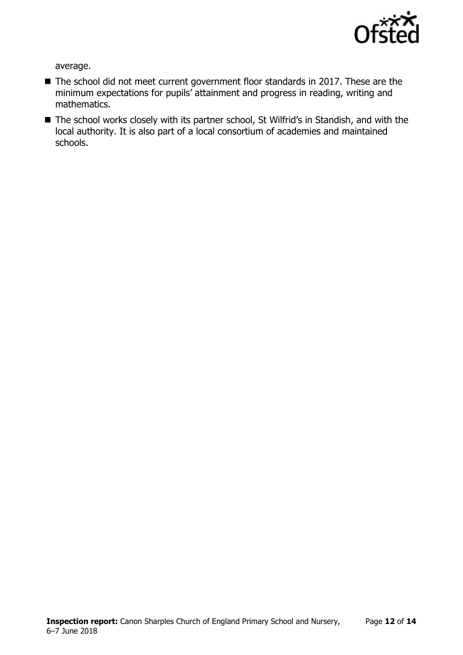

average.

- The school did not meet current government floor standards in 2017. These are the minimum expectations for pupils' attainment and progress in reading, writing and mathematics.
- The school works closely with its partner school, St Wilfrid's in Standish, and with the local authority. It is also part of a local consortium of academies and maintained schools.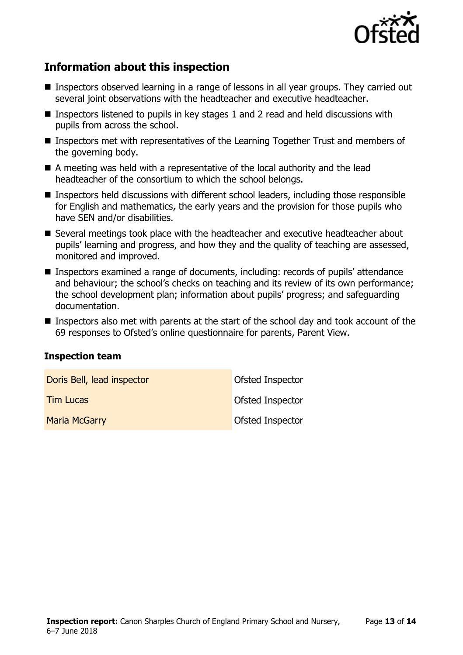

# **Information about this inspection**

- Inspectors observed learning in a range of lessons in all year groups. They carried out several joint observations with the headteacher and executive headteacher.
- Inspectors listened to pupils in key stages 1 and 2 read and held discussions with pupils from across the school.
- Inspectors met with representatives of the Learning Together Trust and members of the governing body.
- A meeting was held with a representative of the local authority and the lead headteacher of the consortium to which the school belongs.
- Inspectors held discussions with different school leaders, including those responsible for English and mathematics, the early years and the provision for those pupils who have SEN and/or disabilities.
- Several meetings took place with the headteacher and executive headteacher about pupils' learning and progress, and how they and the quality of teaching are assessed, monitored and improved.
- Inspectors examined a range of documents, including: records of pupils' attendance and behaviour; the school's checks on teaching and its review of its own performance; the school development plan; information about pupils' progress; and safeguarding documentation.
- Inspectors also met with parents at the start of the school day and took account of the 69 responses to Ofsted's online questionnaire for parents, Parent View.

#### **Inspection team**

| Doris Bell, lead inspector | Ofsted Inspector |
|----------------------------|------------------|
| <b>Tim Lucas</b>           | Ofsted Inspector |
| <b>Maria McGarry</b>       | Ofsted Inspector |